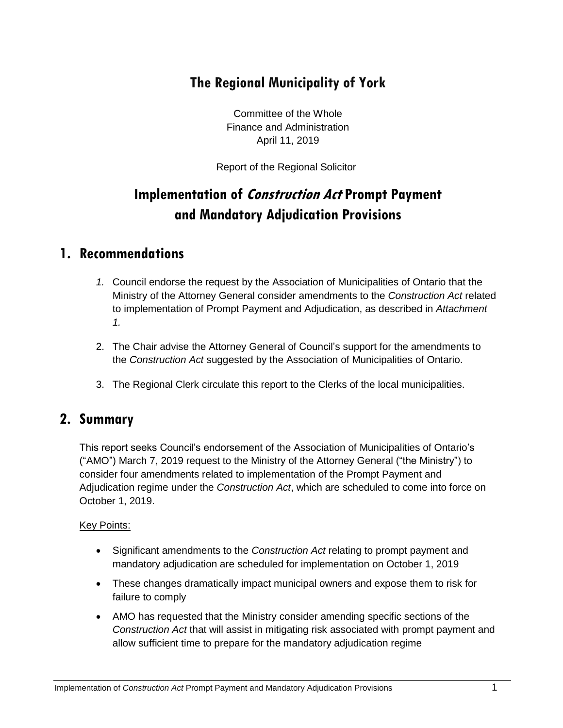## **The Regional Municipality of York**

Committee of the Whole Finance and Administration April 11, 2019

Report of the Regional Solicitor

# **Implementation of Construction Act Prompt Payment and Mandatory Adjudication Provisions**

### **1. Recommendations**

- *1.* Council endorse the request by the Association of Municipalities of Ontario that the Ministry of the Attorney General consider amendments to the *Construction Act* related to implementation of Prompt Payment and Adjudication, as described in *Attachment 1.*
- 2. The Chair advise the Attorney General of Council's support for the amendments to the *Construction Act* suggested by the Association of Municipalities of Ontario.
- 3. The Regional Clerk circulate this report to the Clerks of the local municipalities.

### **2. Summary**

This report seeks Council's endorsement of the Association of Municipalities of Ontario's ("AMO") March 7, 2019 request to the Ministry of the Attorney General ("the Ministry") to consider four amendments related to implementation of the Prompt Payment and Adjudication regime under the *Construction Act*, which are scheduled to come into force on October 1, 2019.

#### Key Points:

- Significant amendments to the *Construction Act* relating to prompt payment and mandatory adjudication are scheduled for implementation on October 1, 2019
- These changes dramatically impact municipal owners and expose them to risk for failure to comply
- AMO has requested that the Ministry consider amending specific sections of the *Construction Act* that will assist in mitigating risk associated with prompt payment and allow sufficient time to prepare for the mandatory adjudication regime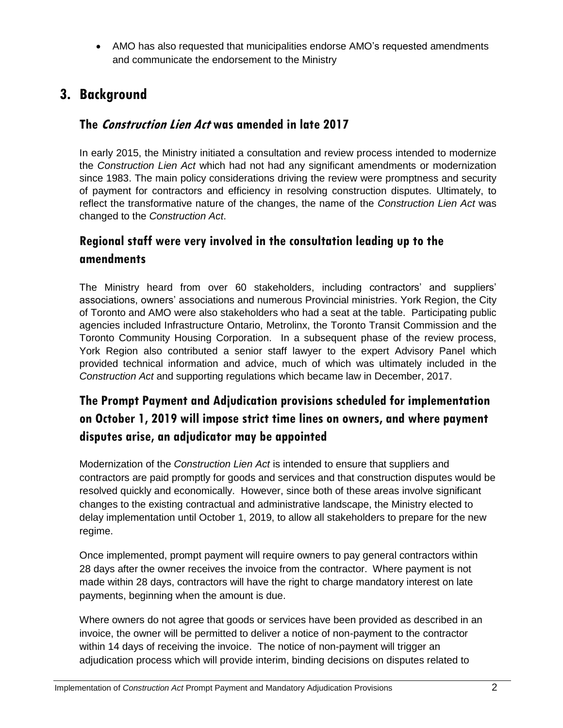AMO has also requested that municipalities endorse AMO's requested amendments and communicate the endorsement to the Ministry

## **3. Background**

#### **The Construction Lien Act was amended in late 2017**

In early 2015, the Ministry initiated a consultation and review process intended to modernize the *Construction Lien Act* which had not had any significant amendments or modernization since 1983. The main policy considerations driving the review were promptness and security of payment for contractors and efficiency in resolving construction disputes. Ultimately, to reflect the transformative nature of the changes, the name of the *Construction Lien Act* was changed to the *Construction Act*.

## **Regional staff were very involved in the consultation leading up to the amendments**

The Ministry heard from over 60 stakeholders, including contractors' and suppliers' associations, owners' associations and numerous Provincial ministries. York Region, the City of Toronto and AMO were also stakeholders who had a seat at the table. Participating public agencies included Infrastructure Ontario, Metrolinx, the Toronto Transit Commission and the Toronto Community Housing Corporation. In a subsequent phase of the review process, York Region also contributed a senior staff lawyer to the expert Advisory Panel which provided technical information and advice, much of which was ultimately included in the *Construction Act* and supporting regulations which became law in December, 2017.

## **The Prompt Payment and Adjudication provisions scheduled for implementation on October 1, 2019 will impose strict time lines on owners, and where payment disputes arise, an adjudicator may be appointed**

Modernization of the *Construction Lien Act* is intended to ensure that suppliers and contractors are paid promptly for goods and services and that construction disputes would be resolved quickly and economically. However, since both of these areas involve significant changes to the existing contractual and administrative landscape, the Ministry elected to delay implementation until October 1, 2019, to allow all stakeholders to prepare for the new regime.

Once implemented, prompt payment will require owners to pay general contractors within 28 days after the owner receives the invoice from the contractor. Where payment is not made within 28 days, contractors will have the right to charge mandatory interest on late payments, beginning when the amount is due.

Where owners do not agree that goods or services have been provided as described in an invoice, the owner will be permitted to deliver a notice of non-payment to the contractor within 14 days of receiving the invoice. The notice of non-payment will trigger an adjudication process which will provide interim, binding decisions on disputes related to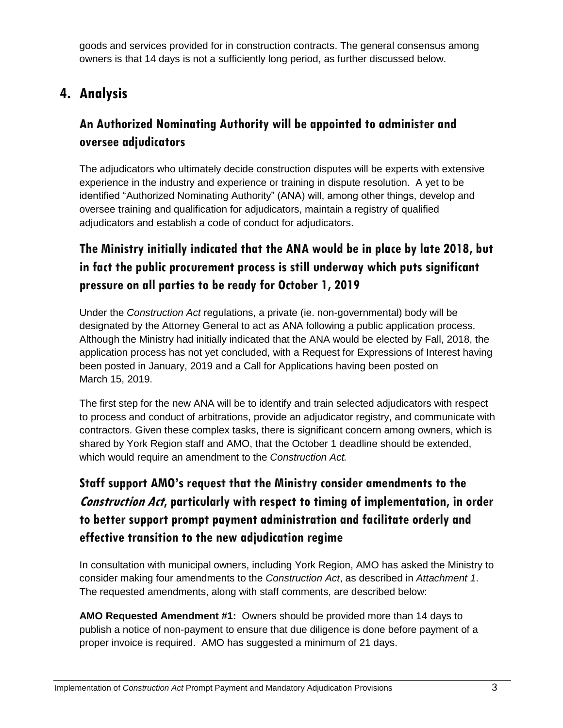goods and services provided for in construction contracts. The general consensus among owners is that 14 days is not a sufficiently long period, as further discussed below.

## **4. Analysis**

## **An Authorized Nominating Authority will be appointed to administer and oversee adjudicators**

The adjudicators who ultimately decide construction disputes will be experts with extensive experience in the industry and experience or training in dispute resolution. A yet to be identified "Authorized Nominating Authority" (ANA) will, among other things, develop and oversee training and qualification for adjudicators, maintain a registry of qualified adjudicators and establish a code of conduct for adjudicators.

## **The Ministry initially indicated that the ANA would be in place by late 2018, but in fact the public procurement process is still underway which puts significant pressure on all parties to be ready for October 1, 2019**

Under the *Construction Act* regulations, a private (ie. non-governmental) body will be designated by the Attorney General to act as ANA following a public application process. Although the Ministry had initially indicated that the ANA would be elected by Fall, 2018, the application process has not yet concluded, with a Request for Expressions of Interest having been posted in January, 2019 and a Call for Applications having been posted on March 15, 2019.

The first step for the new ANA will be to identify and train selected adjudicators with respect to process and conduct of arbitrations, provide an adjudicator registry, and communicate with contractors. Given these complex tasks, there is significant concern among owners, which is shared by York Region staff and AMO, that the October 1 deadline should be extended, which would require an amendment to the *Construction Act.*

## **Staff support AMO's request that the Ministry consider amendments to the Construction Act, particularly with respect to timing of implementation, in order to better support prompt payment administration and facilitate orderly and effective transition to the new adjudication regime**

In consultation with municipal owners, including York Region, AMO has asked the Ministry to consider making four amendments to the *Construction Act*, as described in *Attachment 1*. The requested amendments, along with staff comments, are described below:

**AMO Requested Amendment #1:** Owners should be provided more than 14 days to publish a notice of non-payment to ensure that due diligence is done before payment of a proper invoice is required. AMO has suggested a minimum of 21 days.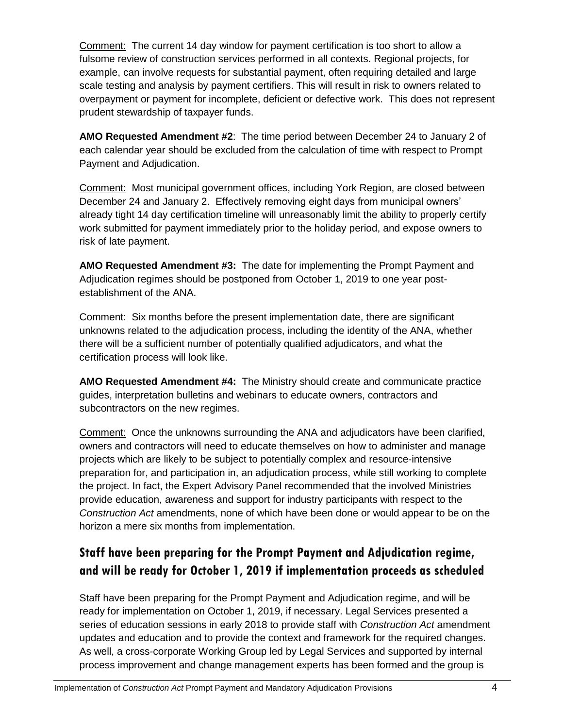Comment: The current 14 day window for payment certification is too short to allow a fulsome review of construction services performed in all contexts. Regional projects, for example, can involve requests for substantial payment, often requiring detailed and large scale testing and analysis by payment certifiers. This will result in risk to owners related to overpayment or payment for incomplete, deficient or defective work. This does not represent prudent stewardship of taxpayer funds.

**AMO Requested Amendment #2**: The time period between December 24 to January 2 of each calendar year should be excluded from the calculation of time with respect to Prompt Payment and Adjudication.

Comment: Most municipal government offices, including York Region, are closed between December 24 and January 2. Effectively removing eight days from municipal owners' already tight 14 day certification timeline will unreasonably limit the ability to properly certify work submitted for payment immediately prior to the holiday period, and expose owners to risk of late payment.

**AMO Requested Amendment #3:** The date for implementing the Prompt Payment and Adjudication regimes should be postponed from October 1, 2019 to one year postestablishment of the ANA.

Comment: Six months before the present implementation date, there are significant unknowns related to the adjudication process, including the identity of the ANA, whether there will be a sufficient number of potentially qualified adjudicators, and what the certification process will look like.

**AMO Requested Amendment #4:** The Ministry should create and communicate practice guides, interpretation bulletins and webinars to educate owners, contractors and subcontractors on the new regimes.

Comment: Once the unknowns surrounding the ANA and adjudicators have been clarified, owners and contractors will need to educate themselves on how to administer and manage projects which are likely to be subject to potentially complex and resource-intensive preparation for, and participation in, an adjudication process, while still working to complete the project. In fact, the Expert Advisory Panel recommended that the involved Ministries provide education, awareness and support for industry participants with respect to the *Construction Act* amendments, none of which have been done or would appear to be on the horizon a mere six months from implementation.

## **Staff have been preparing for the Prompt Payment and Adjudication regime, and will be ready for October 1, 2019 if implementation proceeds as scheduled**

Staff have been preparing for the Prompt Payment and Adjudication regime, and will be ready for implementation on October 1, 2019, if necessary. Legal Services presented a series of education sessions in early 2018 to provide staff with *Construction Act* amendment updates and education and to provide the context and framework for the required changes. As well, a cross-corporate Working Group led by Legal Services and supported by internal process improvement and change management experts has been formed and the group is